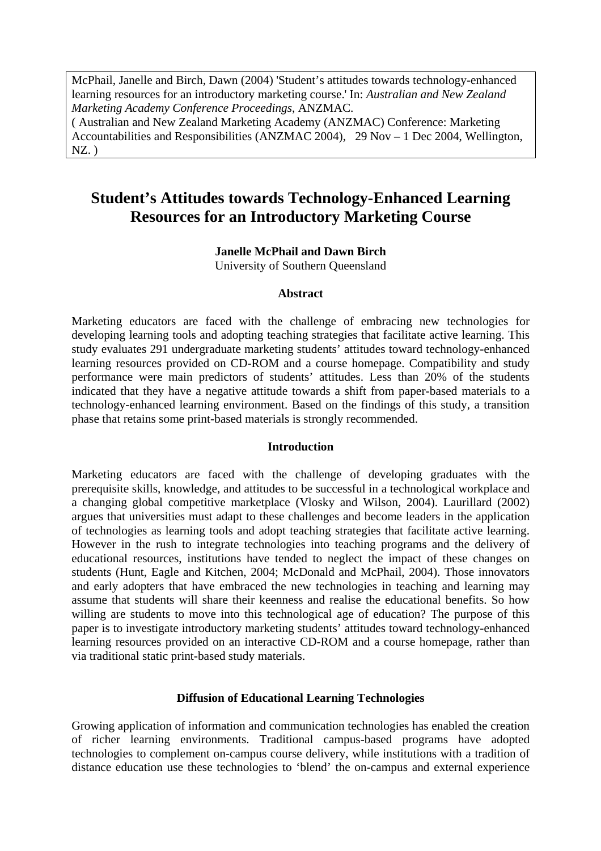McPhail, Janelle and Birch, Dawn (2004) 'Student's attitudes towards technology-enhanced learning resources for an introductory marketing course.' In: *Australian and New Zealand Marketing Academy Conference Proceedings*, ANZMAC.

( Australian and New Zealand Marketing Academy (ANZMAC) Conference: Marketing Accountabilities and Responsibilities (ANZMAC 2004), 29 Nov – 1 Dec 2004, Wellington,  $NZ.$ )

# **Student's Attitudes towards Technology-Enhanced Learning Resources for an Introductory Marketing Course**

#### **Janelle McPhail and Dawn Birch**

University of Southern Queensland

#### **Abstract**

Marketing educators are faced with the challenge of embracing new technologies for developing learning tools and adopting teaching strategies that facilitate active learning. This study evaluates 291 undergraduate marketing students' attitudes toward technology-enhanced learning resources provided on CD-ROM and a course homepage. Compatibility and study performance were main predictors of students' attitudes. Less than 20% of the students indicated that they have a negative attitude towards a shift from paper-based materials to a technology-enhanced learning environment. Based on the findings of this study, a transition phase that retains some print-based materials is strongly recommended.

#### **Introduction**

Marketing educators are faced with the challenge of developing graduates with the prerequisite skills, knowledge, and attitudes to be successful in a technological workplace and a changing global competitive marketplace (Vlosky and Wilson, 2004). Laurillard (2002) argues that universities must adapt to these challenges and become leaders in the application of technologies as learning tools and adopt teaching strategies that facilitate active learning. However in the rush to integrate technologies into teaching programs and the delivery of educational resources, institutions have tended to neglect the impact of these changes on students (Hunt, Eagle and Kitchen, 2004; McDonald and McPhail, 2004). Those innovators and early adopters that have embraced the new technologies in teaching and learning may assume that students will share their keenness and realise the educational benefits. So how willing are students to move into this technological age of education? The purpose of this paper is to investigate introductory marketing students' attitudes toward technology-enhanced learning resources provided on an interactive CD-ROM and a course homepage, rather than via traditional static print-based study materials.

# **Diffusion of Educational Learning Technologies**

Growing application of information and communication technologies has enabled the creation of richer learning environments. Traditional campus-based programs have adopted technologies to complement on-campus course delivery, while institutions with a tradition of distance education use these technologies to 'blend' the on-campus and external experience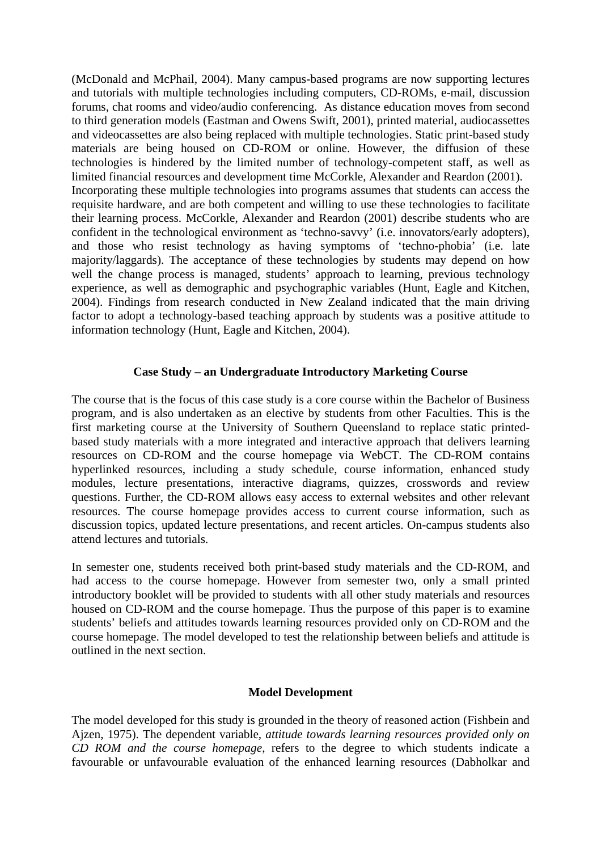(McDonald and McPhail, 2004). Many campus-based programs are now supporting lectures and tutorials with multiple technologies including computers, CD-ROMs, e-mail, discussion forums, chat rooms and video/audio conferencing. As distance education moves from second to third generation models (Eastman and Owens Swift, 2001), printed material, audiocassettes and videocassettes are also being replaced with multiple technologies. Static print-based study materials are being housed on CD-ROM or online. However, the diffusion of these technologies is hindered by the limited number of technology-competent staff, as well as limited financial resources and development time McCorkle, Alexander and Reardon (2001). Incorporating these multiple technologies into programs assumes that students can access the requisite hardware, and are both competent and willing to use these technologies to facilitate their learning process. McCorkle, Alexander and Reardon (2001) describe students who are confident in the technological environment as 'techno-savvy' (i.e. innovators/early adopters), and those who resist technology as having symptoms of 'techno-phobia' (i.e. late majority/laggards). The acceptance of these technologies by students may depend on how well the change process is managed, students' approach to learning, previous technology experience, as well as demographic and psychographic variables (Hunt, Eagle and Kitchen, 2004). Findings from research conducted in New Zealand indicated that the main driving factor to adopt a technology-based teaching approach by students was a positive attitude to information technology (Hunt, Eagle and Kitchen, 2004).

# **Case Study – an Undergraduate Introductory Marketing Course**

The course that is the focus of this case study is a core course within the Bachelor of Business program, and is also undertaken as an elective by students from other Faculties. This is the first marketing course at the University of Southern Queensland to replace static printedbased study materials with a more integrated and interactive approach that delivers learning resources on CD-ROM and the course homepage via WebCT. The CD-ROM contains hyperlinked resources, including a study schedule, course information, enhanced study modules, lecture presentations, interactive diagrams, quizzes, crosswords and review questions. Further, the CD-ROM allows easy access to external websites and other relevant resources. The course homepage provides access to current course information, such as discussion topics, updated lecture presentations, and recent articles. On-campus students also attend lectures and tutorials.

In semester one, students received both print-based study materials and the CD-ROM, and had access to the course homepage. However from semester two, only a small printed introductory booklet will be provided to students with all other study materials and resources housed on CD-ROM and the course homepage. Thus the purpose of this paper is to examine students' beliefs and attitudes towards learning resources provided only on CD-ROM and the course homepage. The model developed to test the relationship between beliefs and attitude is outlined in the next section.

# **Model Development**

The model developed for this study is grounded in the theory of reasoned action (Fishbein and Ajzen, 1975). The dependent variable*, attitude towards learning resources provided only on CD ROM and the course homepage*, refers to the degree to which students indicate a favourable or unfavourable evaluation of the enhanced learning resources (Dabholkar and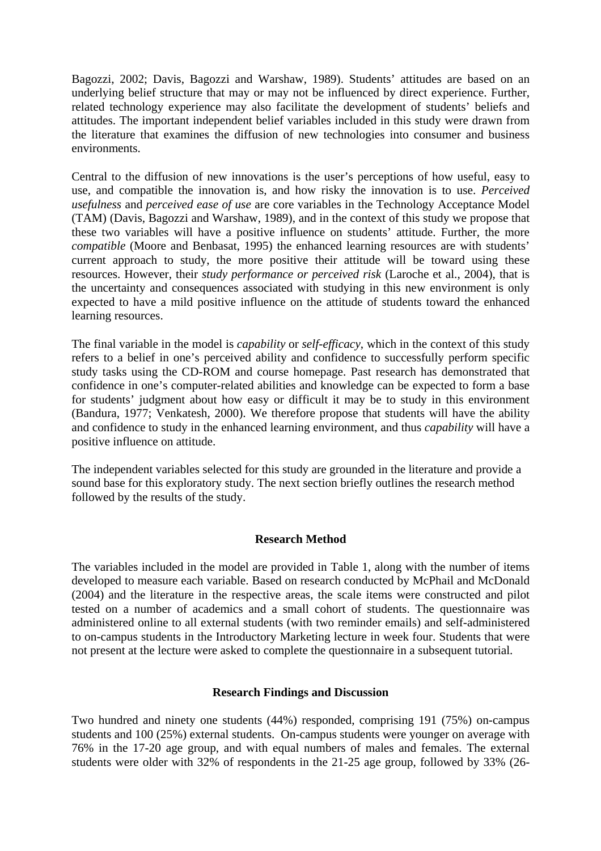Bagozzi, 2002; Davis, Bagozzi and Warshaw, 1989). Students' attitudes are based on an underlying belief structure that may or may not be influenced by direct experience. Further, related technology experience may also facilitate the development of students' beliefs and attitudes. The important independent belief variables included in this study were drawn from the literature that examines the diffusion of new technologies into consumer and business environments.

Central to the diffusion of new innovations is the user's perceptions of how useful, easy to use, and compatible the innovation is, and how risky the innovation is to use. *Perceived usefulness* and *perceived ease of use* are core variables in the Technology Acceptance Model (TAM) (Davis, Bagozzi and Warshaw, 1989), and in the context of this study we propose that these two variables will have a positive influence on students' attitude. Further, the more *compatible* (Moore and Benbasat, 1995) the enhanced learning resources are with students' current approach to study, the more positive their attitude will be toward using these resources. However, their *study performance or perceived risk* (Laroche et al., 2004), that is the uncertainty and consequences associated with studying in this new environment is only expected to have a mild positive influence on the attitude of students toward the enhanced learning resources.

The final variable in the model is *capability* or *self-efficacy*, which in the context of this study refers to a belief in one's perceived ability and confidence to successfully perform specific study tasks using the CD-ROM and course homepage. Past research has demonstrated that confidence in one's computer-related abilities and knowledge can be expected to form a base for students' judgment about how easy or difficult it may be to study in this environment (Bandura, 1977; Venkatesh, 2000). We therefore propose that students will have the ability and confidence to study in the enhanced learning environment, and thus *capability* will have a positive influence on attitude.

The independent variables selected for this study are grounded in the literature and provide a sound base for this exploratory study. The next section briefly outlines the research method followed by the results of the study.

# **Research Method**

The variables included in the model are provided in Table 1, along with the number of items developed to measure each variable. Based on research conducted by McPhail and McDonald (2004) and the literature in the respective areas, the scale items were constructed and pilot tested on a number of academics and a small cohort of students. The questionnaire was administered online to all external students (with two reminder emails) and self-administered to on-campus students in the Introductory Marketing lecture in week four. Students that were not present at the lecture were asked to complete the questionnaire in a subsequent tutorial.

# **Research Findings and Discussion**

Two hundred and ninety one students (44%) responded, comprising 191 (75%) on-campus students and 100 (25%) external students. On-campus students were younger on average with 76% in the 17-20 age group, and with equal numbers of males and females. The external students were older with 32% of respondents in the 21-25 age group, followed by 33% (26-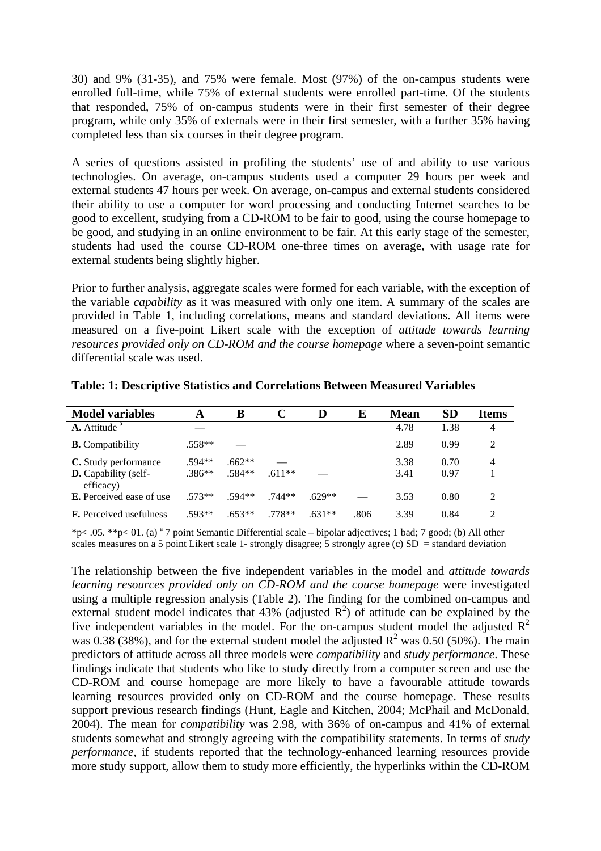30) and 9% (31-35), and 75% were female. Most (97%) of the on-campus students were enrolled full-time, while 75% of external students were enrolled part-time. Of the students that responded, 75% of on-campus students were in their first semester of their degree program, while only 35% of externals were in their first semester, with a further 35% having completed less than six courses in their degree program.

A series of questions assisted in profiling the students' use of and ability to use various technologies. On average, on-campus students used a computer 29 hours per week and external students 47 hours per week. On average, on-campus and external students considered their ability to use a computer for word processing and conducting Internet searches to be good to excellent, studying from a CD-ROM to be fair to good, using the course homepage to be good, and studying in an online environment to be fair. At this early stage of the semester, students had used the course CD-ROM one-three times on average, with usage rate for external students being slightly higher.

Prior to further analysis, aggregate scales were formed for each variable, with the exception of the variable *capability* as it was measured with only one item. A summary of the scales are provided in Table 1, including correlations, means and standard deviations. All items were measured on a five-point Likert scale with the exception of *attitude towards learning resources provided only on CD-ROM and the course homepage* where a seven-point semantic differential scale was used.

| <b>Model variables</b>                                           | A                    | В                    |          |          | E    | <b>Mean</b>  | <b>SD</b>    | <b>Items</b>  |
|------------------------------------------------------------------|----------------------|----------------------|----------|----------|------|--------------|--------------|---------------|
| $\Lambda$ . Attitude $a$                                         |                      |                      |          |          |      | 4.78         | 1.38         | 4             |
| <b>B.</b> Compatibility                                          | $.558**$             |                      |          |          |      | 2.89         | 0.99         | $\mathcal{L}$ |
| C. Study performance<br><b>D.</b> Capability (self-<br>efficacy) | $.594**$<br>$.386**$ | $.662**$<br>$.584**$ | $.611**$ |          |      | 3.38<br>3.41 | 0.70<br>0.97 | 4             |
| <b>E.</b> Perceived ease of use                                  | $.573**$             | $.594**$             | $.744**$ | .629**   |      | 3.53         | 0.80         | $\mathcal{L}$ |
| <b>F.</b> Perceived usefulness                                   | .593**               | $.653**$             | $.778**$ | $.631**$ | .806 | 3.39         | 0.84         | 2             |

**Table: 1: Descriptive Statistics and Correlations Between Measured Variables** 

\*p< .05. \*\*p< 01. (a) a 7 point Semantic Differential scale – bipolar adjectives; 1 bad; 7 good; (b) All other scales measures on a 5 point Likert scale 1- strongly disagree; 5 strongly agree (c)  $SD =$  standard deviation

The relationship between the five independent variables in the model and *attitude towards learning resources provided only on CD-ROM and the course homepage* were investigated using a multiple regression analysis (Table 2). The finding for the combined on-campus and external student model indicates that 43% (adjusted  $R^2$ ) of attitude can be explained by the five independent variables in the model. For the on-campus student model the adjusted  $R^2$ was 0.38 (38%), and for the external student model the adjusted  $R^2$  was 0.50 (50%). The main predictors of attitude across all three models were *compatibility* and *study performance*. These findings indicate that students who like to study directly from a computer screen and use the CD-ROM and course homepage are more likely to have a favourable attitude towards learning resources provided only on CD-ROM and the course homepage. These results support previous research findings (Hunt, Eagle and Kitchen, 2004; McPhail and McDonald, 2004). The mean for *compatibility* was 2.98, with 36% of on-campus and 41% of external students somewhat and strongly agreeing with the compatibility statements. In terms of *study performance*, if students reported that the technology-enhanced learning resources provide more study support, allow them to study more efficiently, the hyperlinks within the CD-ROM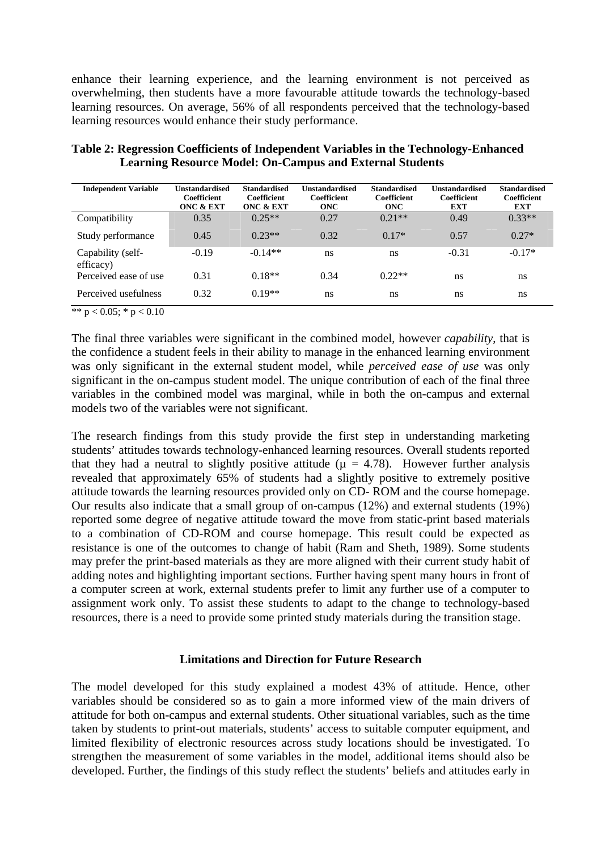enhance their learning experience, and the learning environment is not perceived as overwhelming, then students have a more favourable attitude towards the technology-based learning resources. On average, 56% of all respondents perceived that the technology-based learning resources would enhance their study performance.

| <b>Independent Variable</b>    | <b>Unstandardised</b><br><b>Coefficient</b><br><b>ONC &amp; EXT</b> | <b>Standardised</b><br>Coefficient<br>ONC & EXT | <b>Unstandardised</b><br>Coefficient<br><b>ONC</b> | <b>Standardised</b><br>Coefficient<br><b>ONC</b> | <b>Unstandardised</b><br>Coefficient<br><b>EXT</b> | <b>Standardised</b><br><b>Coefficient</b><br><b>EXT</b> |
|--------------------------------|---------------------------------------------------------------------|-------------------------------------------------|----------------------------------------------------|--------------------------------------------------|----------------------------------------------------|---------------------------------------------------------|
| Compatibility                  | 0.35                                                                | $0.25**$                                        | 0.27                                               | $0.21**$                                         | 0.49                                               | $0.33**$                                                |
| Study performance              | 0.45                                                                | $0.23**$                                        | 0.32                                               | $0.17*$                                          | 0.57                                               | $0.27*$                                                 |
| Capability (self-<br>efficacy) | $-0.19$                                                             | $-0.14**$                                       | ns                                                 | ns                                               | $-0.31$                                            | $-0.17*$                                                |
| Perceived ease of use          | 0.31                                                                | $0.18**$                                        | 0.34                                               | $0.22**$                                         | ns                                                 | ns                                                      |
| Perceived usefulness           | 0.32                                                                | $0.19**$                                        | ns                                                 | ns                                               | ns                                                 | ns                                                      |

**Table 2: Regression Coefficients of Independent Variables in the Technology-Enhanced Learning Resource Model: On-Campus and External Students** 

\*\*  $p < 0.05$ ; \*  $p < 0.10$ 

The final three variables were significant in the combined model, however *capability*, that is the confidence a student feels in their ability to manage in the enhanced learning environment was only significant in the external student model, while *perceived ease of use* was only significant in the on-campus student model. The unique contribution of each of the final three variables in the combined model was marginal, while in both the on-campus and external models two of the variables were not significant.

The research findings from this study provide the first step in understanding marketing students' attitudes towards technology-enhanced learning resources. Overall students reported that they had a neutral to slightly positive attitude ( $\mu = 4.78$ ). However further analysis revealed that approximately 65% of students had a slightly positive to extremely positive attitude towards the learning resources provided only on CD- ROM and the course homepage. Our results also indicate that a small group of on-campus (12%) and external students (19%) reported some degree of negative attitude toward the move from static-print based materials to a combination of CD-ROM and course homepage. This result could be expected as resistance is one of the outcomes to change of habit (Ram and Sheth, 1989). Some students may prefer the print-based materials as they are more aligned with their current study habit of adding notes and highlighting important sections. Further having spent many hours in front of a computer screen at work, external students prefer to limit any further use of a computer to assignment work only. To assist these students to adapt to the change to technology-based resources, there is a need to provide some printed study materials during the transition stage.

# **Limitations and Direction for Future Research**

The model developed for this study explained a modest 43% of attitude. Hence, other variables should be considered so as to gain a more informed view of the main drivers of attitude for both on-campus and external students. Other situational variables, such as the time taken by students to print-out materials, students' access to suitable computer equipment, and limited flexibility of electronic resources across study locations should be investigated. To strengthen the measurement of some variables in the model, additional items should also be developed. Further, the findings of this study reflect the students' beliefs and attitudes early in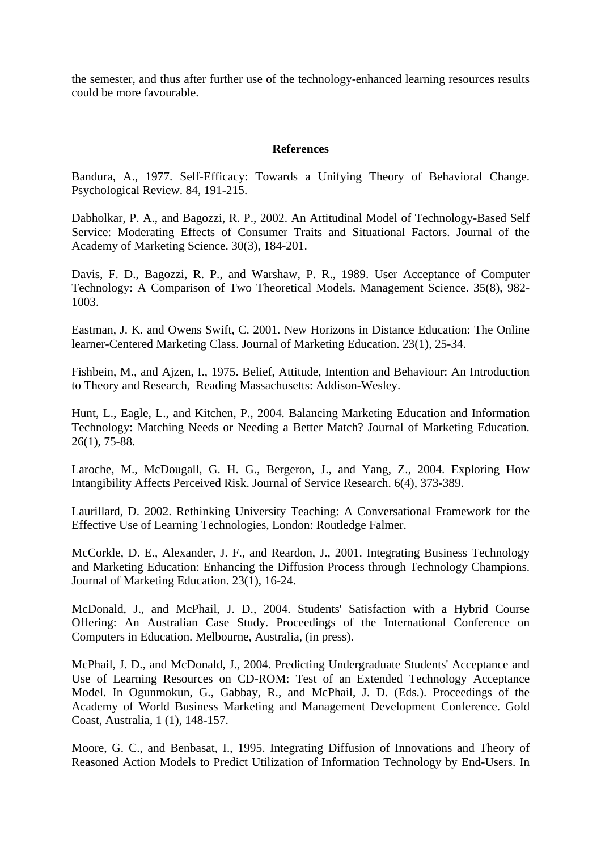the semester, and thus after further use of the technology-enhanced learning resources results could be more favourable.

#### **References**

Bandura, A., 1977. Self-Efficacy: Towards a Unifying Theory of Behavioral Change. Psychological Review. 84, 191-215.

Dabholkar, P. A., and Bagozzi, R. P., 2002. An Attitudinal Model of Technology-Based Self Service: Moderating Effects of Consumer Traits and Situational Factors. Journal of the Academy of Marketing Science. 30(3), 184-201.

Davis, F. D., Bagozzi, R. P., and Warshaw, P. R., 1989. User Acceptance of Computer Technology: A Comparison of Two Theoretical Models. Management Science. 35(8), 982- 1003.

Eastman, J. K. and Owens Swift, C. 2001. New Horizons in Distance Education: The Online learner-Centered Marketing Class. Journal of Marketing Education. 23(1), 25-34.

Fishbein, M., and Ajzen, I., 1975. Belief, Attitude, Intention and Behaviour: An Introduction to Theory and Research, Reading Massachusetts: Addison-Wesley.

Hunt, L., Eagle, L., and Kitchen, P., 2004. Balancing Marketing Education and Information Technology: Matching Needs or Needing a Better Match? Journal of Marketing Education. 26(1), 75-88.

Laroche, M., McDougall, G. H. G., Bergeron, J., and Yang, Z., 2004. Exploring How Intangibility Affects Perceived Risk. Journal of Service Research. 6(4), 373-389.

Laurillard, D. 2002. Rethinking University Teaching: A Conversational Framework for the Effective Use of Learning Technologies, London: Routledge Falmer.

McCorkle, D. E., Alexander, J. F., and Reardon, J., 2001. Integrating Business Technology and Marketing Education: Enhancing the Diffusion Process through Technology Champions. Journal of Marketing Education. 23(1), 16-24.

McDonald, J., and McPhail, J. D., 2004. Students' Satisfaction with a Hybrid Course Offering: An Australian Case Study. Proceedings of the International Conference on Computers in Education. Melbourne, Australia, (in press).

McPhail, J. D., and McDonald, J., 2004. Predicting Undergraduate Students' Acceptance and Use of Learning Resources on CD-ROM: Test of an Extended Technology Acceptance Model. In Ogunmokun, G., Gabbay, R., and McPhail, J. D. (Eds.). Proceedings of the Academy of World Business Marketing and Management Development Conference. Gold Coast, Australia, 1 (1), 148-157.

Moore, G. C., and Benbasat, I., 1995. Integrating Diffusion of Innovations and Theory of Reasoned Action Models to Predict Utilization of Information Technology by End-Users. In